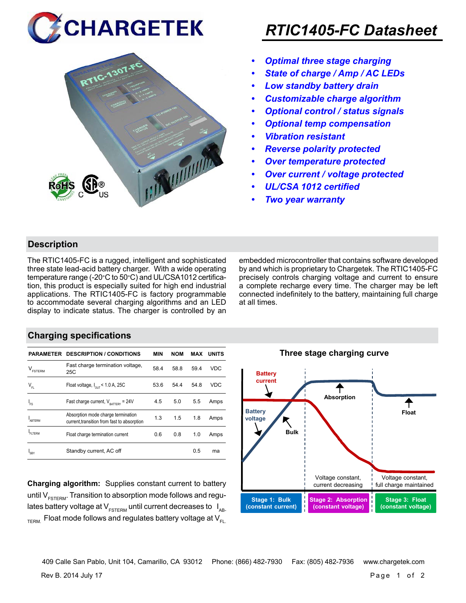



## *RTIC1405-FC Datasheet*

- *• Optimal three stage charging*
- *• State of charge / Amp / AC LEDs*
- *• Low standby battery drain*
- *• Customizable charge algorithm*
- *• Optional control / status signals*
- *• Optional temp compensation*
- *• Vibration resistant*
- *• Reverse polarity protected*
- *• Over temperature protected*
- *• Over current / voltage protected*
- *• UL/CSA 1012 certified*
- *• Two year warranty*

#### **Description**

The RTIC1405-FC is a rugged, intelligent and sophisticated three state lead-acid battery charger. With a wide operating temperature range (-20°C to 50°C) and UL/CSA1012 certification, this product is especially suited for high end industrial applications. The RTIC1405-FC is factory programmable to accommodate several charging algorithms and an LED display to indicate status. The charger is controlled by an embedded microcontroller that contains software developed by and which is proprietary to Chargetek. The RTIC1405-FC precisely controls charging voltage and current to ensure a complete recharge every time. The charger may be left connected indefinitely to the battery, maintaining full charge at all times.

#### **Charging specifications**

|                                      | <b>PARAMETER DESCRIPTION / CONDITIONS</b>                                         | MIN  | <b>NOM</b> | MAX  | <b>UNITS</b> |
|--------------------------------------|-----------------------------------------------------------------------------------|------|------------|------|--------------|
| $\mathsf{V}_{\texttt{\tiny FSTERN}}$ | Fast charge termination voltage,<br>25C                                           | 58.4 | 58.8       | 59.4 | <b>VDC</b>   |
| $V_{FL}$                             | Float voltage, $I_{\text{out}}$ < 1.0 A, 25C                                      | 53.6 | 54.4       | 54.8 | <b>VDC</b>   |
| $I_{FS}$                             | Fast charge current, $V_{\text{partrev}} = 24V$                                   | 4.5  | 5.0        | 5.5  | Amps         |
| <b>ARTERM</b>                        | Absorption mode charge termination<br>current, transition from fast to absorption | 1.3  | 1.5        | 1.8  | Amps         |
| FI TFRM                              | Float charge termination current                                                  | 0.6  | 0.8        | 1.0  | Amps         |
| SRY                                  | Standby current, AC off                                                           |      |            | 0.5  | ma           |

**Charging algorithm:** Supplies constant current to battery until  $V_{ESTFRM}$ . Transition to absorption mode follows and regulates battery voltage at  $V_{ESTERM}$  until current decreases to  $I_{AR}$  $T_{\text{ERM}}$  Float mode follows and regulates battery voltage at  $V_{\text{F1}}$ 



Rev B. 2014 July 17 Page 1 of 2 409 Calle San Pablo, Unit 104, Camarillo, CA 93012 Phone: (866) 482-7930 Fax: (805) 482-7936 www.chargetek.com

**Three stage charging curve**